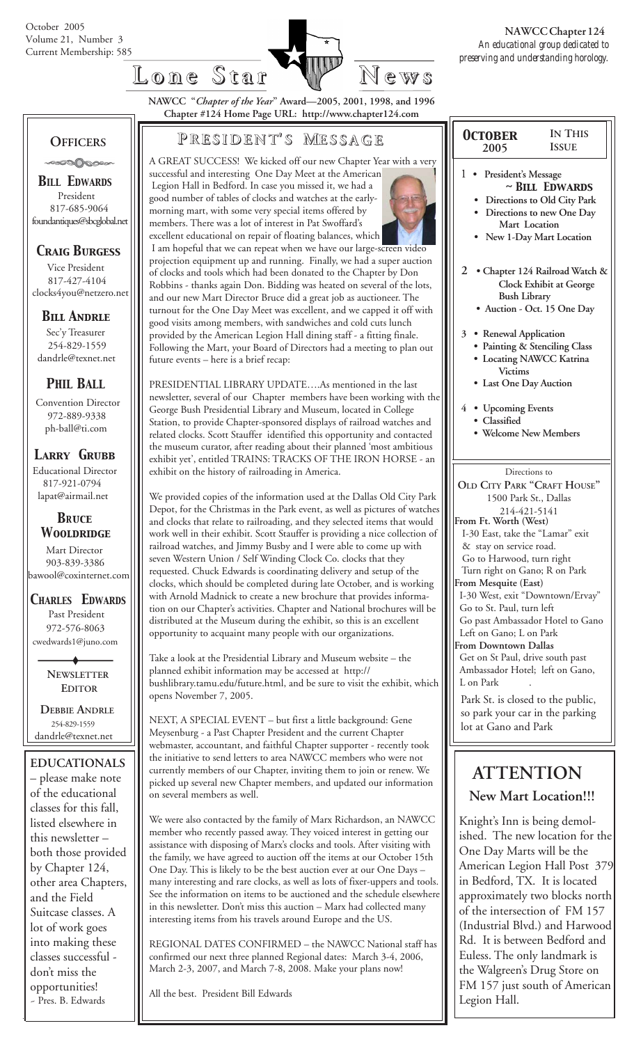

**NAWCC "***Chapter of the Year***" Award—2005, 2001, 1998, and 1996 Chapter #124 Home Page URL: http://www.chapter124.com**

future events – here is a brief recap:

 **OFFICERS** -∞∞∆⊘∞∞

*BILL EDWARDS* President 817-685-9064 foundantiques@sbcglobal.net

# *Craig Burgess*

 Vice President 817-427-4104 clocks4you@netzero.net

# *Bill Andrle*

 Sec'y Treasurer 254-829-1559 dandrle@texnet.net

# *PHIL BALL*

 Convention Director 972-889-9338 ph-ball@ti.com

 *Larry Grubb*

Educational Director 817-921-0794 lapat@airmail.net

### *BRuce Wooldridge*

 Mart Director 903-839-3386 bawool@coxinternet.com

*CHARLES EDWARDS* Past President 972-576-8063 cwedwards1@juno.com

> **NEWSLETTER EDITOR**

 **DEBBIE ANDRLE** 254-829-1559 dandrle@texnet.net

**EDUCATIONALS** – please make note of the educational classes for this fall, listed elsewhere in this newsletter – both those provided by Chapter 124, other area Chapters, and the Field Suitcase classes. A lot of work goes into making these classes successful don't miss the opportunities! ~ Pres. B. Edwards

# **P RESIDENT RESIDENT' S M ESSAGE**

A GREAT SUCCESS! We kicked off our new Chapter Year with a very

successful and interesting One Day Meet at the American Legion Hall in Bedford. In case you missed it, we had a good number of tables of clocks and watches at the earlymorning mart, with some very special items offered by members. There was a lot of interest in Pat Swoffard's excellent educational on repair of floating balances, which I am hopeful that we can repeat when we have our large-screen video projection equipment up and running. Finally, we had a super auction of clocks and tools which had been donated to the Chapter by Don Robbins - thanks again Don. Bidding was heated on several of the lots, and our new Mart Director Bruce did a great job as auctioneer. The turnout for the One Day Meet was excellent, and we capped it off with good visits among members, with sandwiches and cold cuts lunch provided by the American Legion Hall dining staff - a fitting finale. Following the Mart, your Board of Directors had a meeting to plan out

PRESIDENTIAL LIBRARY UPDATE….As mentioned in the last newsletter, several of our Chapter members have been working with the George Bush Presidential Library and Museum, located in College Station, to provide Chapter-sponsored displays of railroad watches and related clocks. Scott Stauffer identified this opportunity and contacted the museum curator, after reading about their planned 'most ambitious exhibit yet', entitled TRAINS: TRACKS OF THE IRON HORSE - an exhibit on the history of railroading in America.

We provided copies of the information used at the Dallas Old City Park Depot, for the Christmas in the Park event, as well as pictures of watches and clocks that relate to railroading, and they selected items that would work well in their exhibit. Scott Stauffer is providing a nice collection of railroad watches, and Jimmy Busby and I were able to come up with seven Western Union / Self Winding Clock Co. clocks that they requested. Chuck Edwards is coordinating delivery and setup of the clocks, which should be completed during late October, and is working with Arnold Madnick to create a new brochure that provides information on our Chapter's activities. Chapter and National brochures will be distributed at the Museum during the exhibit, so this is an excellent opportunity to acquaint many people with our organizations.

Take a look at the Presidential Library and Museum website – the planned exhibit information may be accessed at http:// bushlibrary.tamu.edu/future.html, and be sure to visit the exhibit, which opens November 7, 2005.

NEXT, A SPECIAL EVENT – but first a little background: Gene Meysenburg - a Past Chapter President and the current Chapter webmaster, accountant, and faithful Chapter supporter - recently took the initiative to send letters to area NAWCC members who were not currently members of our Chapter, inviting them to join or renew. We picked up several new Chapter members, and updated our information on several members as well.

We were also contacted by the family of Marx Richardson, an NAWCC member who recently passed away. They voiced interest in getting our assistance with disposing of Marx's clocks and tools. After visiting with the family, we have agreed to auction off the items at our October 15th One Day. This is likely to be the best auction ever at our One Days – many interesting and rare clocks, as well as lots of fixer-uppers and tools. See the information on items to be auctioned and the schedule elsewhere in this newsletter. Don't miss this auction – Marx had collected many interesting items from his travels around Europe and the US.

REGIONAL DATES CONFIRMED – the NAWCC National staff has confirmed our next three planned Regional dates: March 3-4, 2006, March 2-3, 2007, and March 7-8, 2008. Make your plans now!

All the best. President Bill Edwards

|                | October                                                           | <b>IN THIS</b>                                                                                              |
|----------------|-------------------------------------------------------------------|-------------------------------------------------------------------------------------------------------------|
|                | 2005                                                              | <b>ISSUE</b>                                                                                                |
| 1              | President's Message<br>Mart Location                              | $~\sim$ BILL EDWARDS<br>Directions to Old City Park<br>Directions to new One Day<br>New 1-Day Mart Location |
| $\mathfrak{D}$ | <b>Bush Library</b>                                               | • Chapter 124 Railroad Watch &<br>Clock Exhibit at George<br>Auction - Oct. 15 One Day                      |
|                | 3 • Renewal Application<br><b>Victims</b><br>Last One Day Auction | Painting & Stenciling Class<br><b>Locating NAWCC Katrina</b>                                                |
|                | 4 • Upcoming Events<br>Classified<br><b>Welcome New Members</b>   |                                                                                                             |

#### Directions to **OLD CITY PARK "CRAFT HOUSE"** 1500 Park St., Dallas 214-421-5141 **From Ft. Worth (West)** I-30 East, take the "Lamar" exit & stay on service road. Go to Harwood, turn right Turn right on Gano; R on Park **From Mesquite (East)** I-30 West, exit "Downtown/Ervay" Go to St. Paul, turn left Go past Ambassador Hotel to Gano Left on Gano; L on Park **From Downtown Dallas** Get on St Paul, drive south past

 Ambassador Hotel; left on Gano, L on Park Park St. is closed to the public,

so park your car in the parking lot at Gano and Park

# **ATTENTION New Mart Location!!!**

Knight's Inn is being demolished. The new location for the One Day Marts will be the American Legion Hall Post 379 in Bedford, TX. It is located approximately two blocks north of the intersection of FM 157 (Industrial Blvd.) and Harwood Rd. It is between Bedford and Euless. The only landmark is the Walgreen's Drug Store on FM 157 just south of American Legion Hall.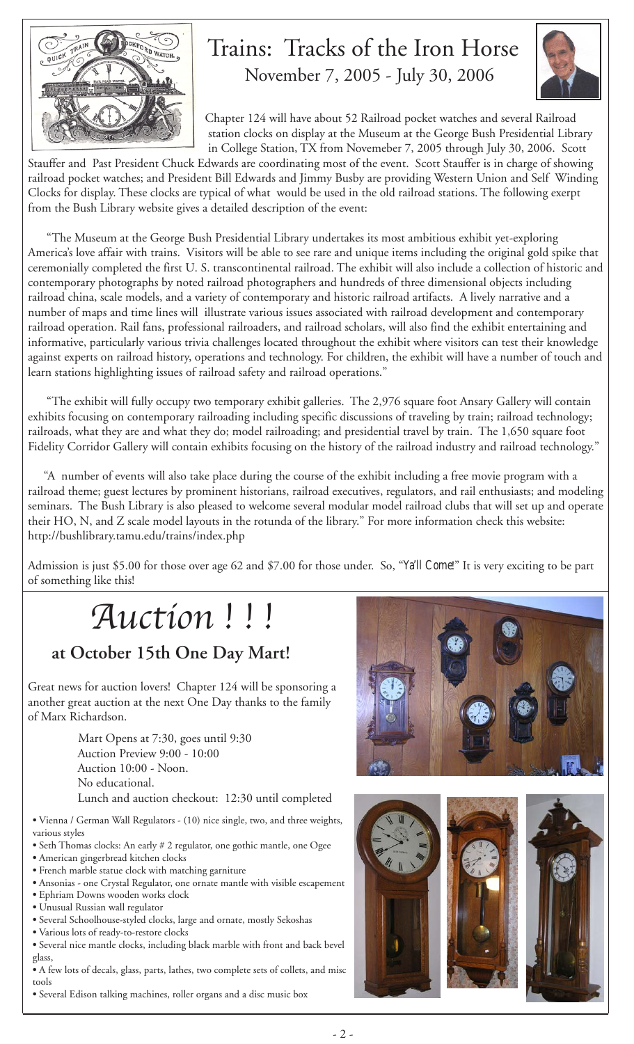

# Trains: Tracks of the Iron Horse November 7, 2005 - July 30, 2006



 Chapter 124 will have about 52 Railroad pocket watches and several Railroad station clocks on display at the Museum at the George Bush Presidential Library in College Station, TX from Novemeber 7, 2005 through July 30, 2006. Scott

Stauffer and Past President Chuck Edwards are coordinating most of the event. Scott Stauffer is in charge of showing railroad pocket watches; and President Bill Edwards and Jimmy Busby are providing Western Union and Self Winding Clocks for display. These clocks are typical of what would be used in the old railroad stations. The following exerpt from the Bush Library website gives a detailed description of the event:

 "The Museum at the George Bush Presidential Library undertakes its most ambitious exhibit yet-exploring America's love affair with trains. Visitors will be able to see rare and unique items including the original gold spike that ceremonially completed the first U. S. transcontinental railroad. The exhibit will also include a collection of historic and contemporary photographs by noted railroad photographers and hundreds of three dimensional objects including railroad china, scale models, and a variety of contemporary and historic railroad artifacts. A lively narrative and a number of maps and time lines will illustrate various issues associated with railroad development and contemporary railroad operation. Rail fans, professional railroaders, and railroad scholars, will also find the exhibit entertaining and informative, particularly various trivia challenges located throughout the exhibit where visitors can test their knowledge against experts on railroad history, operations and technology. For children, the exhibit will have a number of touch and learn stations highlighting issues of railroad safety and railroad operations."

 "The exhibit will fully occupy two temporary exhibit galleries. The 2,976 square foot Ansary Gallery will contain exhibits focusing on contemporary railroading including specific discussions of traveling by train; railroad technology; railroads, what they are and what they do; model railroading; and presidential travel by train. The 1,650 square foot Fidelity Corridor Gallery will contain exhibits focusing on the history of the railroad industry and railroad technology."

 "A number of events will also take place during the course of the exhibit including a free movie program with a railroad theme; guest lectures by prominent historians, railroad executives, regulators, and rail enthusiasts; and modeling seminars. The Bush Library is also pleased to welcome several modular model railroad clubs that will set up and operate their HO, N, and Z scale model layouts in the rotunda of the library." For more information check this website: http://bushlibrary.tamu.edu/trains/index.php

Admission is just \$5.00 for those over age 62 and \$7.00 for those under. So, "*Ya'll Come*!" It is very exciting to be part of something like this!

# Auction ! ! !

# **at October 15th One Day Mart!**

Great news for auction lovers! Chapter 124 will be sponsoring a another great auction at the next One Day thanks to the family of Marx Richardson.

> Mart Opens at 7:30, goes until 9:30 Auction Preview 9:00 - 10:00 Auction 10:00 - Noon. No educational. Lunch and auction checkout: 12:30 until completed

**•** Vienna / German Wall Regulators - (10) nice single, two, and three weights, various styles

- Seth Thomas clocks: An early # 2 regulator, one gothic mantle, one Ogee
- American gingerbread kitchen clocks
- French marble statue clock with matching garniture
- Ansonias one Crystal Regulator, one ornate mantle with visible escapement
- Ephriam Downs wooden works clock
- Unusual Russian wall regulator
- Several Schoolhouse-styled clocks, large and ornate, mostly Sekoshas
- Various lots of ready-to-restore clocks
- Several nice mantle clocks, including black marble with front and back bevel glass,

**•** A few lots of decals, glass, parts, lathes, two complete sets of collets, and misc tools

**•** Several Edison talking machines, roller organs and a disc music box



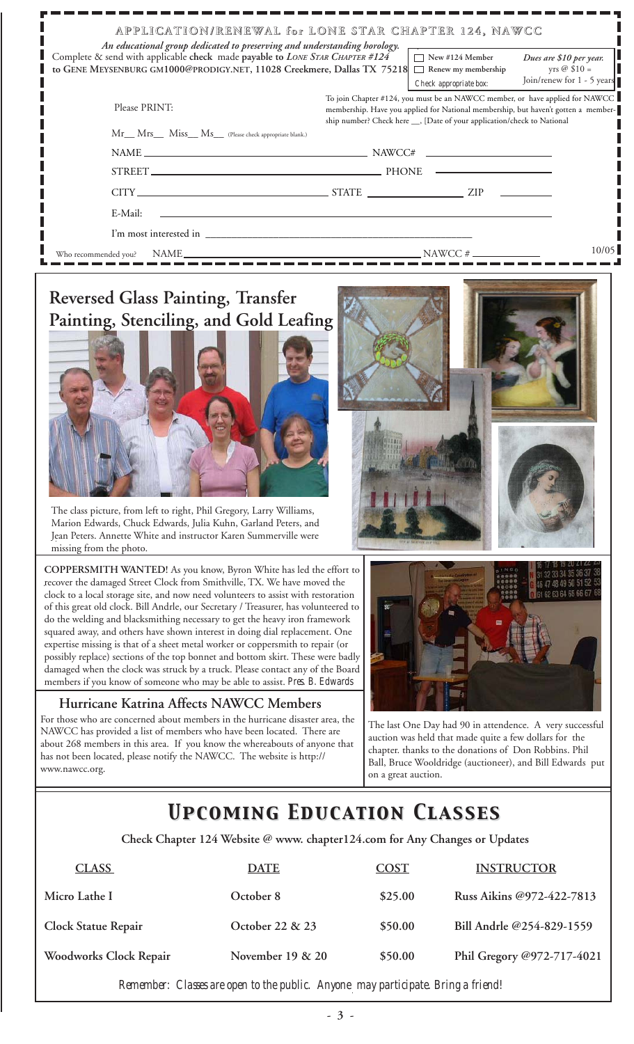| An educational group dedicated to preserving and understanding horology.<br>Complete & send with applicable check made payable to LONE STAR CHAPTER #124<br>to GENE MEYSENBURG GM1000@PRODIGY.NET, 11028 Creekmere, Dallas TX 75218 | APPLICATION/RENEWAL for LONE STAR CHAPTER 124, NAWCC<br>$\Box$ New #124 Member<br>Dues are \$10 per year.<br>yrs @ $$10 =$<br>Renew my membership<br>Join/renew for 1 - 5 years<br>Check appropriate box:                                     |  |  |
|-------------------------------------------------------------------------------------------------------------------------------------------------------------------------------------------------------------------------------------|-----------------------------------------------------------------------------------------------------------------------------------------------------------------------------------------------------------------------------------------------|--|--|
| Please PRINT:                                                                                                                                                                                                                       | To join Chapter #124, you must be an NAWCC member, or have applied for NAWCC<br>membership. Have you applied for National membership, but haven't gotten a member-<br>ship number? Check here __, [Date of your application/check to National |  |  |
| Mr__ Mrs___ Miss__ Ms__ (Please check appropriate blank.)                                                                                                                                                                           |                                                                                                                                                                                                                                               |  |  |
|                                                                                                                                                                                                                                     |                                                                                                                                                                                                                                               |  |  |
|                                                                                                                                                                                                                                     | <u> Alexandria de la contrada de la contrada de la contrada de la contrada de la contrada de la contrada de la c</u>                                                                                                                          |  |  |
|                                                                                                                                                                                                                                     |                                                                                                                                                                                                                                               |  |  |
| E-Mail:                                                                                                                                                                                                                             |                                                                                                                                                                                                                                               |  |  |
|                                                                                                                                                                                                                                     |                                                                                                                                                                                                                                               |  |  |
| Who recommended you?                                                                                                                                                                                                                | 10/05<br>$NAME$ NAME                                                                                                                                                                                                                          |  |  |
| <b>Reversed Glass Painting, Transfer</b><br>$\sim$ 1011 $\sim$ 111                                                                                                                                                                  |                                                                                                                                                                                                                                               |  |  |



The class picture, from left to right, Phil Gregory, Larry Williams, Marion Edwards, Chuck Edwards, Julia Kuhn, Garland Peters, and Jean Peters. Annette White and instructor Karen Summerville were missing from the photo.

**COPPERSMITH WANTED!** As you know, Byron White has led the effort to recover the damaged Street Clock from Smithville, TX. We have moved the clock to a local storage site, and now need volunteers to assist with restoration of this great old clock. Bill Andrle, our Secretary / Treasurer, has volunteered to do the welding and blacksmithing necessary to get the heavy iron framework squared away, and others have shown interest in doing dial replacement. One expertise missing is that of a sheet metal worker or coppersmith to repair (or possibly replace) sections of the top bonnet and bottom skirt. These were badly damaged when the clock was struck by a truck. Please contact any of the Board members if you know of someone who may be able to assist. *Pres. B. Edwards*

#### **Hurricane Katrina Affects NAWCC Members**

For those who are concerned about members in the hurricane disaster area, the NAWCC has provided a list of members who have been located. There are about 268 members in this area. If you know the whereabouts of anyone that has not been located, please notify the NAWCC. The website is http:// www.nawcc.org.



The last One Day had 90 in attendence. A very successful auction was held that made quite a few dollars for the chapter. thanks to the donations of Don Robbins. Phil Ball, Bruce Wooldridge (auctioneer), and Bill Edwards put on a great auction.

# *Upcoming Education Classes Upcoming Education Classes*

 **Check Chapter 124 Website @ www. chapter124.com for Any Changes or Updates**

| <b>CLASS</b>               | <b>DATE</b>        | <b>COST</b> | <b>INSTRUCTOR</b>          |
|----------------------------|--------------------|-------------|----------------------------|
| Micro Lathe I              | October 8          | \$25.00     | Russ Aikins @972-422-7813  |
| <b>Clock Statue Repair</b> | October 22 & 23    | \$50.00     | Bill Andrle @254-829-1559  |
| Woodworks Clock Repair     | November $19 & 20$ | \$50.00     | Phil Gregory @972-717-4021 |

*Remember: Classes are open to the public. Anyone may participate. Bring a friend!*